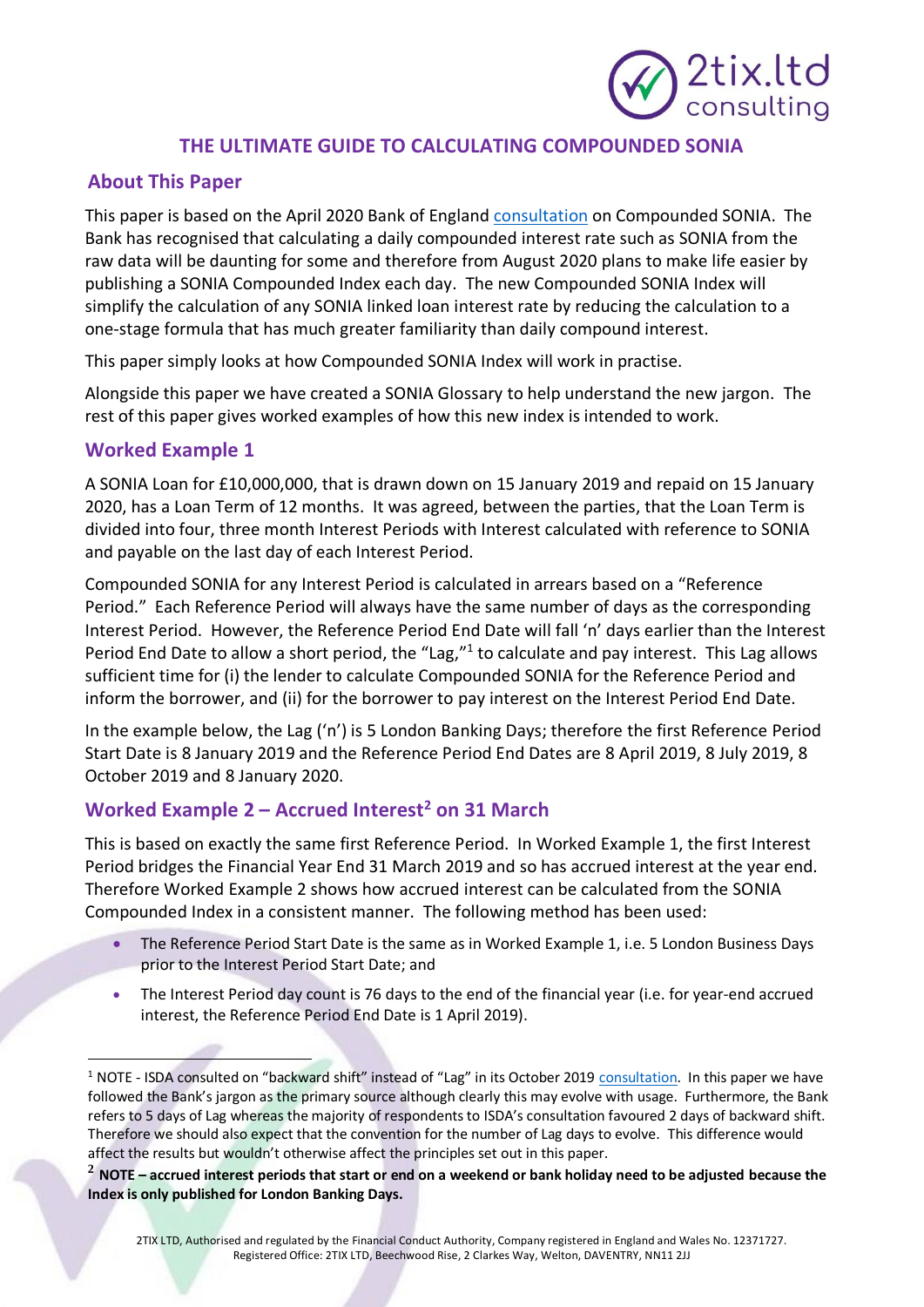# 2tix.ltd consulting

## **THE ULTIMATE GUIDE TO CALCULATING COMPOUNDED SONIA**

## **About This Paper**

This paper is based on the April 2020 Bank of England [consultation](https://www.bankofengland.co.uk/paper/2020/supporting-risk-free-rate-transition-through-the-provision-of-compounded-sonia) on Compounded SONIA. The Bank has recognised that calculating a daily compounded interest rate such as SONIA from the raw data will be daunting for some and therefore from August 2020 plans to make life easier by publishing a SONIA Compounded Index each day. The new Compounded SONIA Index will simplify the calculation of any SONIA linked loan interest rate by reducing the calculation to a one-stage formula that has much greater familiarity than daily compound interest.

This paper simply looks at how Compounded SONIA Index will work in practise.

Alongside this paper we have created a SONIA Glossary to help understand the new jargon. The rest of this paper gives worked examples of how this new index is intended to work.

#### **Worked Example 1**

A SONIA Loan for £10,000,000, that is drawn down on 15 January 2019 and repaid on 15 January 2020, has a Loan Term of 12 months. It was agreed, between the parties, that the Loan Term is divided into four, three month Interest Periods with Interest calculated with reference to SONIA and payable on the last day of each Interest Period.

Compounded SONIA for any Interest Period is calculated in arrears based on a "Reference Period." Each Reference Period will always have the same number of days as the corresponding Interest Period. However, the Reference Period End Date will fall 'n' days earlier than the Interest Period End Date to allow a short period, the "Lag,"<sup>1</sup> to calculate and pay interest. This Lag allows sufficient time for (i) the lender to calculate Compounded SONIA for the Reference Period and inform the borrower, and (ii) for the borrower to pay interest on the Interest Period End Date.

In the example below, the Lag ('n') is 5 London Banking Days; therefore the first Reference Period Start Date is 8 January 2019 and the Reference Period End Dates are 8 April 2019, 8 July 2019, 8 October 2019 and 8 January 2020.

## **Worked Example 2 – Accrued Interest<sup>2</sup> on 31 March**

This is based on exactly the same first Reference Period. In Worked Example 1, the first Interest Period bridges the Financial Year End 31 March 2019 and so has accrued interest at the year end. Therefore Worked Example 2 shows how accrued interest can be calculated from the SONIA Compounded Index in a consistent manner. The following method has been used:

- The Reference Period Start Date is the same as in Worked Example 1, i.e. 5 London Business Days prior to the Interest Period Start Date; and
- The Interest Period day count is 76 days to the end of the financial year (i.e. for year-end accrued interest, the Reference Period End Date is 1 April 2019).

<sup>&</sup>lt;sup>1</sup> NOTE - ISDA consulted on "backward shift" instead of "Lag" in its October 2019 [consultation.](https://2tixltd-my.sharepoint.com/personal/admin_2tix_ltd/Documents/2TIX.LTD%202020/SONIA/assets.isda.org/media/3e16cdd2/d1b3283f-pdf/) In this paper we have followed the Bank's jargon as the primary source although clearly this may evolve with usage. Furthermore, the Bank refers to 5 days of Lag whereas the majority of respondents to ISDA's consultation favoured 2 days of backward shift. Therefore we should also expect that the convention for the number of Lag days to evolve. This difference would affect the results but wouldn't otherwise affect the principles set out in this paper.

**<sup>2</sup> NOTE – accrued interest periods that start or end on a weekend or bank holiday need to be adjusted because the Index is only published for London Banking Days.**